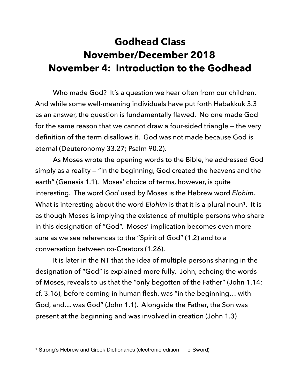## **Godhead Class November/December 2018 November 4: Introduction to the Godhead**

 Who made God? It's a question we hear often from our children. And while some well-meaning individuals have put forth Habakkuk 3.3 as an answer, the question is fundamentally flawed. No one made God for the same reason that we cannot draw a four-sided triangle — the very definition of the term disallows it. God was not made because God is eternal (Deuteronomy 33.27; Psalm 90.2).

<span id="page-0-1"></span> As Moses wrote the opening words to the Bible, he addressed God simply as a reality — "In the beginning, God created the heavens and the earth" (Genesis 1.1). Moses' choice of terms, however, is quite interesting. The word *God* used by Moses is the Hebrew word *Elohim*. What is interesting about the word *Elohim* is that it is a plural noun<sup>1</sup>[.](#page-0-0) It is as though Moses is implying the existence of multiple persons who share in this designation of "God". Moses' implication becomes even more sure as we see references to the "Spirit of God" (1.2) and to a conversation between co-Creators (1.26).

 It is later in the NT that the idea of multiple persons sharing in the designation of "God" is explained more fully. John, echoing the words of Moses, reveals to us that the "only begotten of the Father" (John 1.14; cf. 3.16), before coming in human flesh, was "in the beginning… with God, and… was God" (John 1.1). Alongside the Father, the Son was present at the beginning and was involved in creation (John 1.3)

<span id="page-0-0"></span><sup>&</sup>lt;sup>[1](#page-0-1)</sup> Strong's Hebrew and Greek Dictionaries (electronic edition – e-Sword)